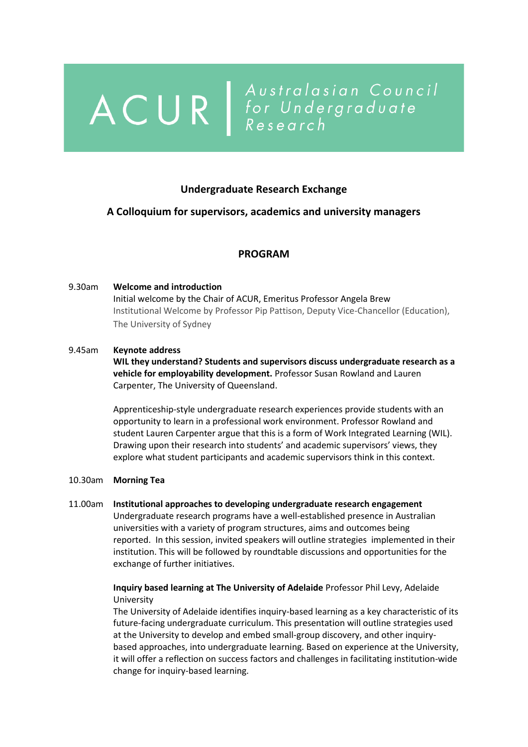# ACUR | Australasian Council<br>
R | Australasian Council<br>
Research

## **Undergraduate Research Exchange**

## **A Colloquium for supervisors, academics and university managers**

## **PROGRAM**

# 9.30am **Welcome and introduction** Initial welcome by the Chair of ACUR, Emeritus Professor Angela Brew Institutional Welcome by Professor Pip Pattison, Deputy Vice-Chancellor (Education), The University of Sydney

#### 9.45am **Keynote address**

**WIL they understand? Students and supervisors discuss undergraduate research as a vehicle for employability development.** Professor Susan Rowland and Lauren Carpenter, The University of Queensland.

Apprenticeship-style undergraduate research experiences provide students with an opportunity to learn in a professional work environment. Professor Rowland and student Lauren Carpenter argue that this is a form of Work Integrated Learning (WIL). Drawing upon their research into students' and academic supervisors' views, they explore what student participants and academic supervisors think in this context.

#### 10.30am **Morning Tea**

11.00am **Institutional approaches to developing undergraduate research engagement** Undergraduate research programs have a well-established presence in Australian universities with a variety of program structures, aims and outcomes being reported. In this session, invited speakers will outline strategies implemented in their institution. This will be followed by roundtable discussions and opportunities for the exchange of further initiatives.

## **Inquiry based learning at The University of Adelaide** Professor Phil Levy, Adelaide University

The University of Adelaide identifies inquiry-based learning as a key characteristic of its future-facing undergraduate curriculum. This presentation will outline strategies used at the University to develop and embed small-group discovery, and other inquirybased approaches, into undergraduate learning. Based on experience at the University, it will offer a reflection on success factors and challenges in facilitating institution-wide change for inquiry-based learning.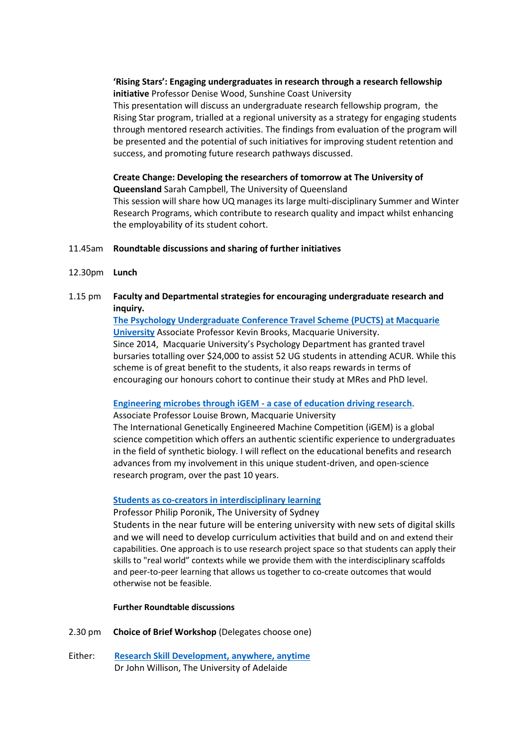**'Rising Stars': Engaging undergraduates in research through a research fellowship initiative** Professor Denise Wood, Sunshine Coast University

This presentation will discuss an undergraduate research fellowship program, the Rising Star program, trialled at a regional university as a strategy for engaging students through mentored research activities. The findings from evaluation of the program will be presented and the potential of such initiatives for improving student retention and success, and promoting future research pathways discussed.

**Create Change: Developing the researchers of tomorrow at The University of Queensland** Sarah Campbell, The University of Queensland This session will share how UQ manages its large multi-disciplinary Summer and Winter Research Programs, which contribute to research quality and impact whilst enhancing the employability of its student cohort.

#### 11.45am **Roundtable discussions and sharing of further initiatives**

- 12.30pm **Lunch**
- 1.15 pm **Faculty and Departmental strategies for encouraging undergraduate research and inquiry.**

**[The Psychology Undergraduate Conference Travel Scheme \(PUCTS\) at Macquarie](https://info.acur.org.au/resources/Documents/Brooks%20ACUR%20UG%20X-Change%202019%20sans%20photos.pdf)  [University](https://info.acur.org.au/resources/Documents/Brooks%20ACUR%20UG%20X-Change%202019%20sans%20photos.pdf)** Associate Professor Kevin Brooks, Macquarie University. Since 2014, Macquarie University's Psychology Department has granted travel bursaries totalling over \$24,000 to assist 52 UG students in attending ACUR. While this scheme is of great benefit to the students, it also reaps rewards in terms of encouraging our honours cohort to continue their study at MRes and PhD level.

#### **[Engineering microbes through iGEM -](https://info.acur.org.au/resources/Documents/ACUR_Brown_2019%20resized.pdf) a case of education driving research**.

Associate Professor Louise Brown, Macquarie University

The International Genetically Engineered Machine Competition (iGEM) is a global science competition which offers an authentic scientific experience to undergraduates in the field of synthetic biology. I will reflect on the educational benefits and research advances from my involvement in this unique student-driven, and open-science research program, over the past 10 years.

#### **[Students as co-creators in interdisciplinary learning](https://info.acur.org.au/resources/Documents/ACUR%202019ss%20Philip%20Poronik.pdf)**

Professor Philip Poronik, The University of Sydney

Students in the near future will be entering university with new sets of digital skills and we will need to develop curriculum activities that build and on and extend their capabilities. One approach is to use research project space so that students can apply their skills to "real world" contexts while we provide them with the interdisciplinary scaffolds and peer-to-peer learning that allows us together to co-create outcomes that would otherwise not be feasible.

#### **Further Roundtable discussions**

- 2.30 pm **Choice of Brief Workshop** (Delegates choose one)
- Either: **[Research Skill Development, anywhere, anytime](https://info.acur.org.au/resources/Documents/RSDanytime_ACUR29Nov19%20resized.pdf)** Dr John Willison, The University of Adelaide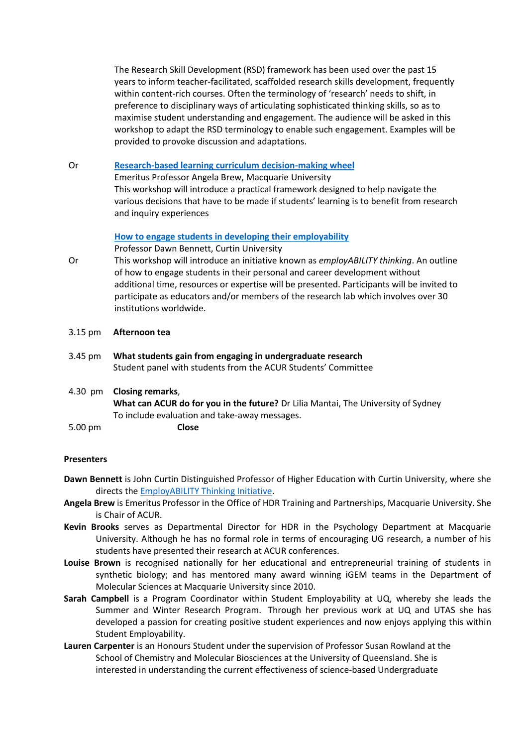The Research Skill Development (RSD) framework has been used over the past 15 years to inform teacher-facilitated, scaffolded research skills development, frequently within content-rich courses. Often the terminology of 'research' needs to shift, in preference to disciplinary ways of articulating sophisticated thinking skills, so as to maximise student understanding and engagement. The audience will be asked in this workshop to adapt the RSD terminology to enable such engagement. Examples will be provided to provoke discussion and adaptations.

#### Or **[Research-based learning curriculum decision-making wheel](https://info.acur.org.au/resources/Documents/Decision%20Wheel%20Poster.pdf)**

Emeritus Professor Angela Brew, Macquarie University This workshop will introduce a practical framework designed to help navigate the various decisions that have to be made if students' learning is to benefit from research and inquiry experiences

#### **[How to engage students in developing their employability](https://info.acur.org.au/resources/Documents/DawnBennett1.pdf)**

Professor Dawn Bennett, Curtin University

- Or This workshop will introduce an initiative known as *employABILITY thinking*. An outline of how to engage students in their personal and career development without additional time, resources or expertise will be presented. Participants will be invited to participate as educators and/or members of the research lab which involves over 30 institutions worldwide.
- 3.15 pm **Afternoon tea**
- 3.45 pm **What students gain from engaging in undergraduate research** Student panel with students from the ACUR Students' Committee
- 4.30 pm **Closing remarks**,

**What can ACUR do for you in the future?** Dr Lilia Mantai, The University of Sydney To include evaluation and take-away messages.

5.00 pm **Close**

#### **Presenters**

- **Dawn Bennett** is John Curtin Distinguished Professor of Higher Education with Curtin University, where she directs the [EmployABILITY Thinking Initiative.](http://developingemployability.edu.au/)
- **Angela Brew** is Emeritus Professor in the Office of HDR Training and Partnerships, Macquarie University. She is Chair of ACUR.
- **Kevin Brooks** serves as Departmental Director for HDR in the Psychology Department at Macquarie University. Although he has no formal role in terms of encouraging UG research, a number of his students have presented their research at ACUR conferences.
- **Louise Brown** is recognised nationally for her educational and entrepreneurial training of students in synthetic biology; and has mentored many award winning iGEM teams in the Department of Molecular Sciences at Macquarie University since 2010.
- **Sarah Campbell** is a Program Coordinator within Student Employability at UQ, whereby she leads the Summer and Winter Research Program. Through her previous work at UQ and UTAS she has developed a passion for creating positive student experiences and now enjoys applying this within Student Employability.
- **Lauren Carpenter** is an Honours Student under the supervision of Professor Susan Rowland at the School of Chemistry and Molecular Biosciences at the University of Queensland. She is interested in understanding the current effectiveness of science-based Undergraduate